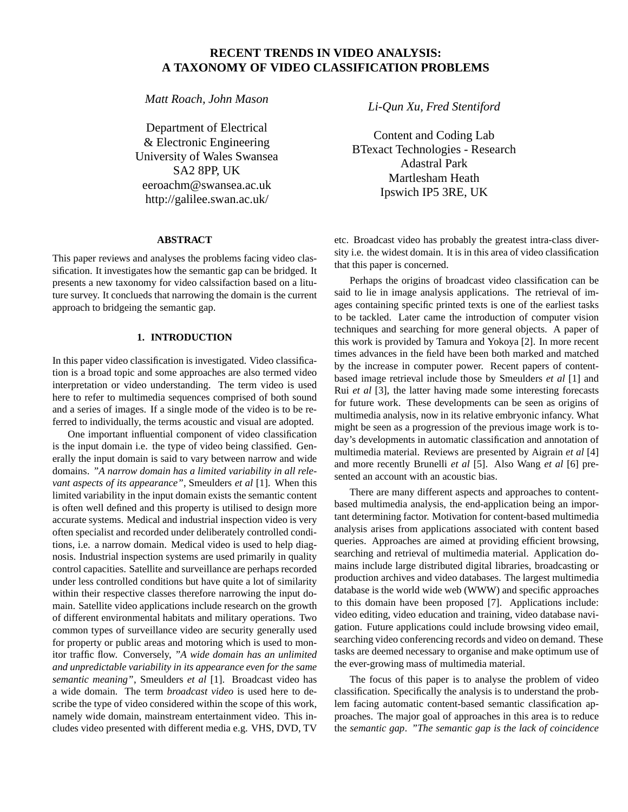# **RECENT TRENDS IN VIDEO ANALYSIS: A TAXONOMY OF VIDEO CLASSIFICATION PROBLEMS**

*Matt Roach, John Mason*

Department of Electrical & Electronic Engineering University of Wales Swansea SA2 8PP, UK eeroachm@swansea.ac.uk http://galilee.swan.ac.uk/

# **ABSTRACT**

This paper reviews and analyses the problems facing video classification. It investigates how the semantic gap can be bridged. It presents a new taxonomy for video calssifaction based on a lituture survey. It conclueds that narrowing the domain is the current approach to bridgeing the semantic gap.

# **1. INTRODUCTION**

In this paper video classification is investigated. Video classification is a broad topic and some approaches are also termed video interpretation or video understanding. The term video is used here to refer to multimedia sequences comprised of both sound and a series of images. If a single mode of the video is to be referred to individually, the terms acoustic and visual are adopted.

One important influential component of video classification is the input domain i.e. the type of video being classified. Generally the input domain is said to vary between narrow and wide domains. *"A narrow domain has a limited variability in all relevant aspects of its appearance"*, Smeulders *et al* [1]. When this limited variability in the input domain exists the semantic content is often well defined and this property is utilised to design more accurate systems. Medical and industrial inspection video is very often specialist and recorded under deliberately controlled conditions, i.e. a narrow domain. Medical video is used to help diagnosis. Industrial inspection systems are used primarily in quality control capacities. Satellite and surveillance are perhaps recorded under less controlled conditions but have quite a lot of similarity within their respective classes therefore narrowing the input domain. Satellite video applications include research on the growth of different environmental habitats and military operations. Two common types of surveillance video are security generally used for property or public areas and motoring which is used to monitor traffic flow. Conversely, *"A wide domain has an unlimited and unpredictable variability in its appearance even for the same semantic meaning"*, Smeulders *et al* [1]. Broadcast video has a wide domain. The term *broadcast video* is used here to describe the type of video considered within the scope of this work, namely wide domain, mainstream entertainment video. This includes video presented with different media e.g. VHS, DVD, TV

*Li-Qun Xu, Fred Stentiford*

Content and Coding Lab BTexact Technologies - Research Adastral Park Martlesham Heath Ipswich IP5 3RE, UK

etc. Broadcast video has probably the greatest intra-class diversity i.e. the widest domain. It is in this area of video classification that this paper is concerned.

Perhaps the origins of broadcast video classification can be said to lie in image analysis applications. The retrieval of images containing specific printed texts is one of the earliest tasks to be tackled. Later came the introduction of computer vision techniques and searching for more general objects. A paper of this work is provided by Tamura and Yokoya [2]. In more recent times advances in the field have been both marked and matched by the increase in computer power. Recent papers of contentbased image retrieval include those by Smeulders *et al* [1] and Rui *et al* [3], the latter having made some interesting forecasts for future work. These developments can be seen as origins of multimedia analysis, now in its relative embryonic infancy. What might be seen as a progression of the previous image work is today's developments in automatic classification and annotation of multimedia material. Reviews are presented by Aigrain *et al* [4] and more recently Brunelli *et al* [5]. Also Wang *et al* [6] presented an account with an acoustic bias.

There are many different aspects and approaches to contentbased multimedia analysis, the end-application being an important determining factor. Motivation for content-based multimedia analysis arises from applications associated with content based queries. Approaches are aimed at providing efficient browsing, searching and retrieval of multimedia material. Application domains include large distributed digital libraries, broadcasting or production archives and video databases. The largest multimedia database is the world wide web (WWW) and specific approaches to this domain have been proposed [7]. Applications include: video editing, video education and training, video database navigation. Future applications could include browsing video email, searching video conferencing records and video on demand. These tasks are deemed necessary to organise and make optimum use of the ever-growing mass of multimedia material.

The focus of this paper is to analyse the problem of video classification. Specifically the analysis is to understand the problem facing automatic content-based semantic classification approaches. The major goal of approaches in this area is to reduce the *semantic gap*. *"The semantic gap is the lack of coincidence*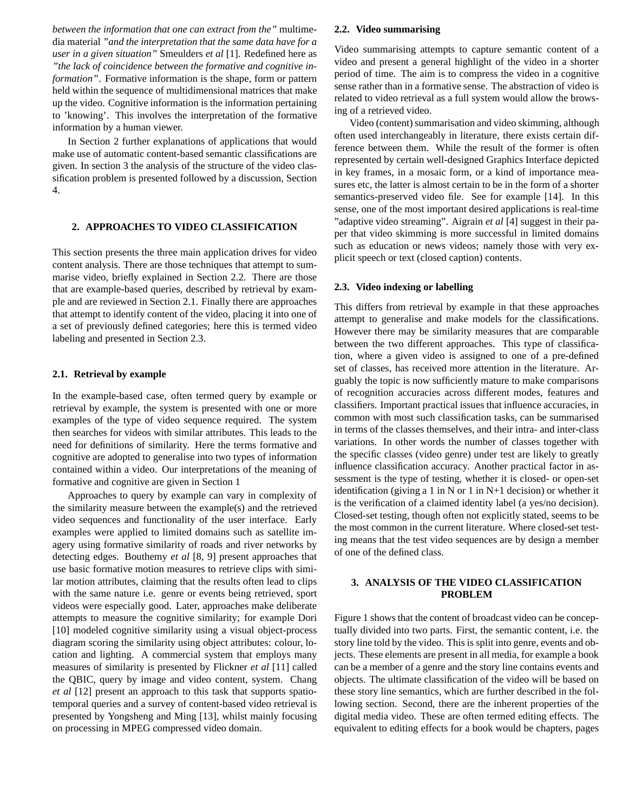*between the information that one can extract from the"* multimedia material *"and the interpretation that the same data have for a user in a given situation"* Smeulders *et al* [1]. Redefined here as *"the lack of coincidence between the formative and cognitive information"*. Formative information is the shape, form or pattern held within the sequence of multidimensional matrices that make up the video. Cognitive information is the information pertaining to 'knowing'. This involves the interpretation of the formative information by a human viewer.

In Section 2 further explanations of applications that would make use of automatic content-based semantic classifications are given. In section 3 the analysis of the structure of the video classification problem is presented followed by a discussion, Section 4.

### **2. APPROACHES TO VIDEO CLASSIFICATION**

This section presents the three main application drives for video content analysis. There are those techniques that attempt to summarise video, briefly explained in Section 2.2. There are those that are example-based queries, described by retrieval by example and are reviewed in Section 2.1. Finally there are approaches that attempt to identify content of the video, placing it into one of a set of previously defined categories; here this is termed video labeling and presented in Section 2.3.

# **2.1. Retrieval by example**

In the example-based case, often termed query by example or retrieval by example, the system is presented with one or more examples of the type of video sequence required. The system then searches for videos with similar attributes. This leads to the need for definitions of similarity. Here the terms formative and cognitive are adopted to generalise into two types of information contained within a video. Our interpretations of the meaning of formative and cognitive are given in Section 1

Approaches to query by example can vary in complexity of the similarity measure between the example(s) and the retrieved video sequences and functionality of the user interface. Early examples were applied to limited domains such as satellite imagery using formative similarity of roads and river networks by detecting edges. Bouthemy *et al* [8, 9] present approaches that use basic formative motion measures to retrieve clips with similar motion attributes, claiming that the results often lead to clips with the same nature i.e. genre or events being retrieved, sport videos were especially good. Later, approaches make deliberate attempts to measure the cognitive similarity; for example Dori [10] modeled cognitive similarity using a visual object-process diagram scoring the similarity using object attributes: colour, location and lighting. A commercial system that employs many measures of similarity is presented by Flickner *et al* [11] called the QBIC, query by image and video content, system. Chang *et al* [12] present an approach to this task that supports spatiotemporal queries and a survey of content-based video retrieval is presented by Yongsheng and Ming [13], whilst mainly focusing on processing in MPEG compressed video domain.

#### **2.2. Video summarising**

Video summarising attempts to capture semantic content of a video and present a general highlight of the video in a shorter period of time. The aim is to compress the video in a cognitive sense rather than in a formative sense. The abstraction of video is related to video retrieval as a full system would allow the browsing of a retrieved video.

Video (content) summarisation and video skimming, although often used interchangeably in literature, there exists certain difference between them. While the result of the former is often represented by certain well-designed Graphics Interface depicted in key frames, in a mosaic form, or a kind of importance measures etc, the latter is almost certain to be in the form of a shorter semantics-preserved video file. See for example [14]. In this sense, one of the most important desired applications is real-time "adaptive video streaming". Aigrain *et al* [4] suggest in their paper that video skimming is more successful in limited domains such as education or news videos; namely those with very explicit speech or text (closed caption) contents.

### **2.3. Video indexing or labelling**

This differs from retrieval by example in that these approaches attempt to generalise and make models for the classifications. However there may be similarity measures that are comparable between the two different approaches. This type of classification, where a given video is assigned to one of a pre-defined set of classes, has received more attention in the literature. Arguably the topic is now sufficiently mature to make comparisons of recognition accuracies across different modes, features and classifiers. Important practical issues that influence accuracies, in common with most such classification tasks, can be summarised in terms of the classes themselves, and their intra- and inter-class variations. In other words the number of classes together with the specific classes (video genre) under test are likely to greatly influence classification accuracy. Another practical factor in assessment is the type of testing, whether it is closed- or open-set identification (giving a 1 in N or 1 in N+1 decision) or whether it is the verification of a claimed identity label (a yes/no decision). Closed-set testing, though often not explicitly stated, seems to be the most common in the current literature. Where closed-set testing means that the test video sequences are by design a member of one of the defined class.

# **3. ANALYSIS OF THE VIDEO CLASSIFICATION PROBLEM**

Figure 1 shows that the content of broadcast video can be conceptually divided into two parts. First, the semantic content, i.e. the story line told by the video. This is split into genre, events and objects. These elements are present in all media, for example a book can be a member of a genre and the story line contains events and objects. The ultimate classification of the video will be based on these story line semantics, which are further described in the following section. Second, there are the inherent properties of the digital media video. These are often termed editing effects. The equivalent to editing effects for a book would be chapters, pages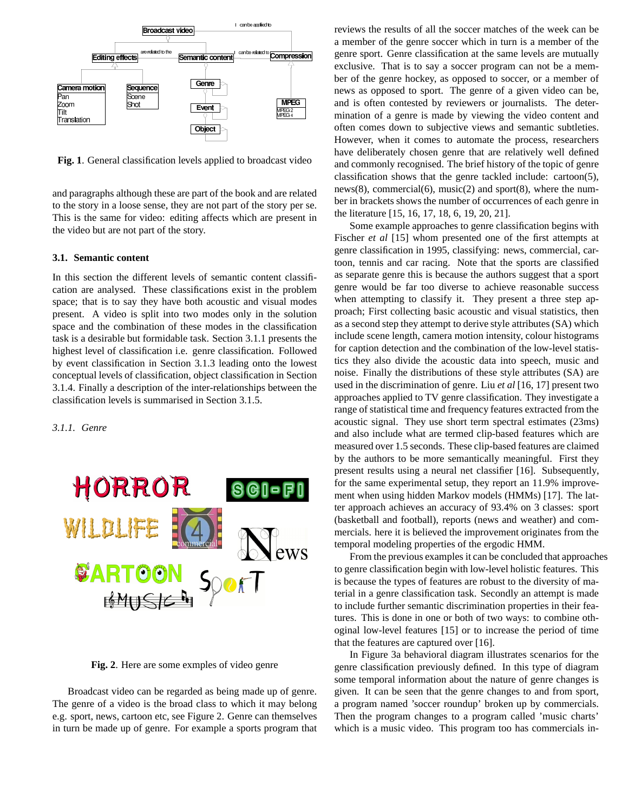

**Fig. 1**. General classification levels applied to broadcast video

and paragraphs although these are part of the book and are related to the story in a loose sense, they are not part of the story per se. This is the same for video: editing affects which are present in the video but are not part of the story.

#### **3.1. Semantic content**

In this section the different levels of semantic content classification are analysed. These classifications exist in the problem space; that is to say they have both acoustic and visual modes present. A video is split into two modes only in the solution space and the combination of these modes in the classification task is a desirable but formidable task. Section 3.1.1 presents the highest level of classification i.e. genre classification. Followed by event classification in Section 3.1.3 leading onto the lowest conceptual levels of classification, object classification in Section 3.1.4. Finally a description of the inter-relationships between the classification levels is summarised in Section 3.1.5.

*3.1.1. Genre*



**Fig. 2**. Here are some exmples of video genre

Broadcast video can be regarded as being made up of genre. The genre of a video is the broad class to which it may belong e.g. sport, news, cartoon etc, see Figure 2. Genre can themselves in turn be made up of genre. For example a sports program that reviews the results of all the soccer matches of the week can be a member of the genre soccer which in turn is a member of the genre sport. Genre classification at the same levels are mutually exclusive. That is to say a soccer program can not be a member of the genre hockey, as opposed to soccer, or a member of news as opposed to sport. The genre of a given video can be, and is often contested by reviewers or journalists. The determination of a genre is made by viewing the video content and often comes down to subjective views and semantic subtleties. However, when it comes to automate the process, researchers have deliberately chosen genre that are relatively well defined and commonly recognised. The brief history of the topic of genre classification shows that the genre tackled include: cartoon(5), news(8), commercial(6), music(2) and sport(8), where the number in brackets shows the number of occurrences of each genre in the literature [15, 16, 17, 18, 6, 19, 20, 21].

Some example approaches to genre classification begins with Fischer *et al* [15] whom presented one of the first attempts at genre classification in 1995, classifying: news, commercial, cartoon, tennis and car racing. Note that the sports are classified as separate genre this is because the authors suggest that a sport genre would be far too diverse to achieve reasonable success when attempting to classify it. They present a three step approach; First collecting basic acoustic and visual statistics, then as a second step they attempt to derive style attributes (SA) which include scene length, camera motion intensity, colour histograms for caption detection and the combination of the low-level statistics they also divide the acoustic data into speech, music and noise. Finally the distributions of these style attributes (SA) are used in the discrimination of genre. Liu *et al* [16, 17] present two approaches applied to TV genre classification. They investigate a range of statistical time and frequency features extracted from the acoustic signal. They use short term spectral estimates (23ms) and also include what are termed clip-based features which are measured over 1.5 seconds. These clip-based features are claimed by the authors to be more semantically meaningful. First they present results using a neural net classifier [16]. Subsequently, for the same experimental setup, they report an 11.9% improvement when using hidden Markov models (HMMs) [17]. The latter approach achieves an accuracy of 93.4% on 3 classes: sport (basketball and football), reports (news and weather) and commercials. here it is believed the improvement originates from the temporal modeling properties of the ergodic HMM.

From the previous examples it can be concluded that approaches to genre classification begin with low-level holistic features. This is because the types of features are robust to the diversity of material in a genre classification task. Secondly an attempt is made to include further semantic discrimination properties in their features. This is done in one or both of two ways: to combine othoginal low-level features [15] or to increase the period of time that the features are captured over [16].

In Figure 3a behavioral diagram illustrates scenarios for the genre classification previously defined. In this type of diagram some temporal information about the nature of genre changes is given. It can be seen that the genre changes to and from sport, a program named 'soccer roundup' broken up by commercials. Then the program changes to a program called 'music charts' which is a music video. This program too has commercials in-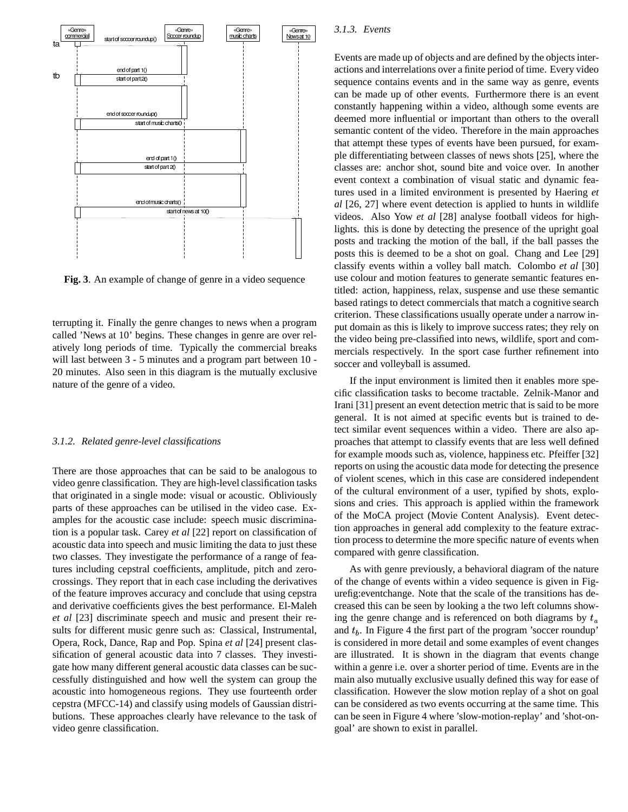

**Fig. 3**. An example of change of genre in a video sequence

terrupting it. Finally the genre changes to news when a program called 'News at 10' begins. These changes in genre are over relatively long periods of time. Typically the commercial breaks will last between 3 - 5 minutes and a program part between 10 - 20 minutes. Also seen in this diagram is the mutually exclusive nature of the genre of a video.

#### *3.1.2. Related genre-level classifications*

There are those approaches that can be said to be analogous to video genre classification. They are high-level classification tasks that originated in a single mode: visual or acoustic. Obliviously parts of these approaches can be utilised in the video case. Examples for the acoustic case include: speech music discrimination is a popular task. Carey *et al* [22] report on classification of acoustic data into speech and music limiting the data to just these two classes. They investigate the performance of a range of features including cepstral coefficients, amplitude, pitch and zerocrossings. They report that in each case including the derivatives of the feature improves accuracy and conclude that using cepstra and derivative coefficients gives the best performance. El-Maleh *et al* [23] discriminate speech and music and present their results for different music genre such as: Classical, Instrumental, Opera, Rock, Dance, Rap and Pop. Spina *et al* [24] present classification of general acoustic data into 7 classes. They investigate how many different general acoustic data classes can be successfully distinguished and how well the system can group the acoustic into homogeneous regions. They use fourteenth order cepstra (MFCC-14) and classify using models of Gaussian distributions. These approaches clearly have relevance to the task of video genre classification.

# *3.1.3. Events*

Events are made up of objects and are defined by the objects interactions and interrelations over a finite period of time. Every video sequence contains events and in the same way as genre, events can be made up of other events. Furthermore there is an event constantly happening within a video, although some events are deemed more influential or important than others to the overall semantic content of the video. Therefore in the main approaches that attempt these types of events have been pursued, for example differentiating between classes of news shots [25], where the classes are: anchor shot, sound bite and voice over. In another event context a combination of visual static and dynamic features used in a limited environment is presented by Haering *et al* [26, 27] where event detection is applied to hunts in wildlife videos. Also Yow *et al* [28] analyse football videos for highlights. this is done by detecting the presence of the upright goal posts and tracking the motion of the ball, if the ball passes the posts this is deemed to be a shot on goal. Chang and Lee [29] classify events within a volley ball match. Colombo *et al* [30] use colour and motion features to generate semantic features entitled: action, happiness, relax, suspense and use these semantic based ratings to detect commercials that match a cognitive search criterion. These classifications usually operate under a narrow input domain as this is likely to improve success rates; they rely on the video being pre-classified into news, wildlife, sport and commercials respectively. In the sport case further refinement into soccer and volleyball is assumed.

If the input environment is limited then it enables more specific classification tasks to become tractable. Zelnik-Manor and Irani [31] present an event detection metric that is said to be more general. It is not aimed at specific events but is trained to detect similar event sequences within a video. There are also approaches that attempt to classify events that are less well defined for example moods such as, violence, happiness etc. Pfeiffer [32] reports on using the acoustic data mode for detecting the presence of violent scenes, which in this case are considered independent of the cultural environment of a user, typified by shots, explosions and cries. This approach is applied within the framework of the MoCA project (Movie Content Analysis). Event detection approaches in general add complexity to the feature extraction process to determine the more specific nature of events when compared with genre classification.

As with genre previously, a behavioral diagram of the nature of the change of events within a video sequence is given in Figurefig:eventchange. Note that the scale of the transitions has decreased this can be seen by looking a the two left columns showing the genre change and is referenced on both diagrams by  $t_a$ and  $t<sub>b</sub>$ . In Figure 4 the first part of the program 'soccer roundup' is considered in more detail and some examples of event changes are illustrated. It is shown in the diagram that events change within a genre i.e. over a shorter period of time. Events are in the main also mutually exclusive usually defined this way for ease of classification. However the slow motion replay of a shot on goal can be considered as two events occurring at the same time. This can be seen in Figure 4 where 'slow-motion-replay' and 'shot-ongoal' are shown to exist in parallel.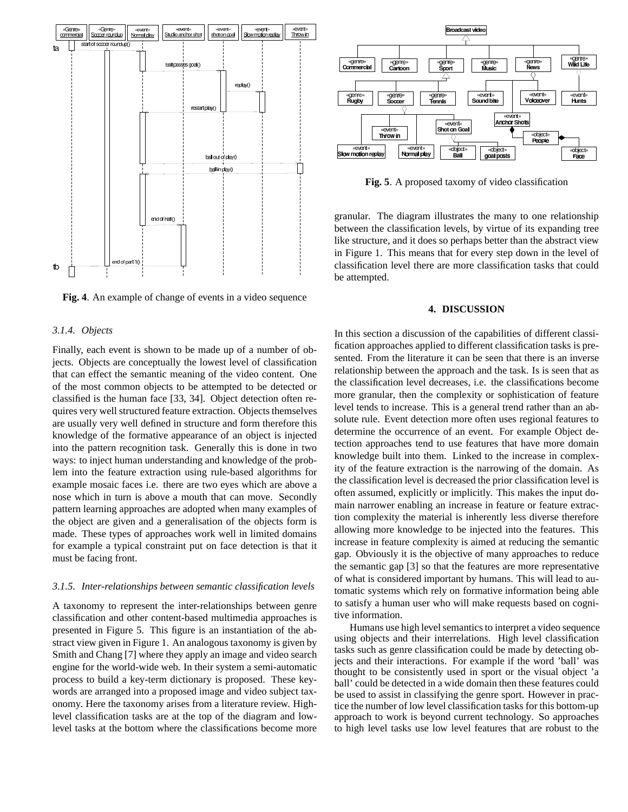

**Fig. 4**. An example of change of events in a video sequence

#### *3.1.4. Objects*

Finally, each event is shown to be made up of a number of objects. Objects are conceptually the lowest level of classification that can effect the semantic meaning of the video content. One of the most common objects to be attempted to be detected or classified is the human face [33, 34]. Object detection often requires very well structured feature extraction. Objects themselves are usually very well defined in structure and form therefore this knowledge of the formative appearance of an object is injected into the pattern recognition task. Generally this is done in two ways: to inject human understanding and knowledge of the problem into the feature extraction using rule-based algorithms for example mosaic faces i.e. there are two eyes which are above a nose which in turn is above a mouth that can move. Secondly pattern learning approaches are adopted when many examples of the object are given and a generalisation of the objects form is made. These types of approaches work well in limited domains for example a typical constraint put on face detection is that it must be facing front.

#### *3.1.5. Inter-relationships between semantic classification levels*

A taxonomy to represent the inter-relationships between genre classification and other content-based multimedia approaches is presented in Figure 5. This figure is an instantiation of the abstract view given in Figure 1. An analogous taxonomy is given by Smith and Chang [7] where they apply an image and video search engine for the world-wide web. In their system a semi-automatic process to build a key-term dictionary is proposed. These keywords are arranged into a proposed image and video subject taxonomy. Here the taxonomy arises from a literature review. Highlevel classification tasks are at the top of the diagram and lowlevel tasks at the bottom where the classifications become more



**Fig. 5**. A proposed taxomy of video classification

granular. The diagram illustrates the many to one relationship between the classification levels, by virtue of its expanding tree like structure, and it does so perhaps better than the abstract view in Figure 1. This means that for every step down in the level of classification level there are more classification tasks that could be attempted.

# **4. DISCUSSION**

In this section a discussion of the capabilities of different classification approaches applied to different classification tasks is presented. From the literature it can be seen that there is an inverse relationship between the approach and the task. Is is seen that as the classification level decreases, i.e. the classifications become more granular, then the complexity or sophistication of feature level tends to increase. This is a general trend rather than an absolute rule. Event detection more often uses regional features to determine the occurrence of an event. For example Object detection approaches tend to use features that have more domain knowledge built into them. Linked to the increase in complexity of the feature extraction is the narrowing of the domain. As the classification level is decreased the prior classification level is often assumed, explicitly or implicitly. This makes the input domain narrower enabling an increase in feature or feature extraction complexity the material is inherently less diverse therefore allowing more knowledge to be injected into the features. This increase in feature complexity is aimed at reducing the semantic gap. Obviously it is the objective of many approaches to reduce the semantic gap [3] so that the features are more representative of what is considered important by humans. This will lead to automatic systems which rely on formative information being able to satisfy a human user who will make requests based on cognitive information.

Humans use high level semantics to interpret a video sequence using objects and their interrelations. High level classification tasks such as genre classification could be made by detecting objects and their interactions. For example if the word 'ball' was thought to be consistently used in sport or the visual object 'a ball' could be detected in a wide domain then these features could be used to assist in classifying the genre sport. However in practice the number of low level classification tasks for this bottom-up approach to work is beyond current technology. So approaches to high level tasks use low level features that are robust to the